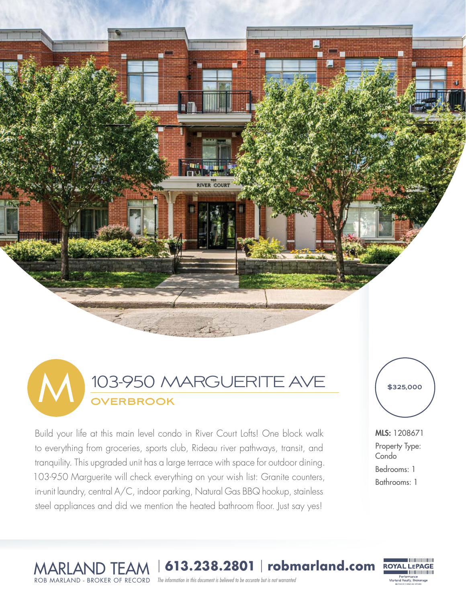



Build your life at this main level condo in River Court Lofts! One block walk to everything from groceries, sports club, Rideau river pathways, transit, and tranquility. This upgraded unit has a large terrace with space for outdoor dining. 103-950 Marguerite will check everything on your wish list: Granite counters, in-unit laundry, central A/C, indoor parking, Natural Gas BBQ hookup, stainless steel appliances and did we mention the heated bathroom floor. Just say yes!

**\$325,000**

MLS: 1208671 Property Type: **Condo** Bedrooms: 1 Bathrooms: 1

> ,,,,,,,,,,,,,,,,,,,,, Performance<br>Marland Realty, Brokerage

MARLAND TEAM <sup>|</sup> **613.238.2801** | **robmarland.com** ROB MARLAND - BROKER OF RECORD

The information in this document is believed to be accurate but is not warranted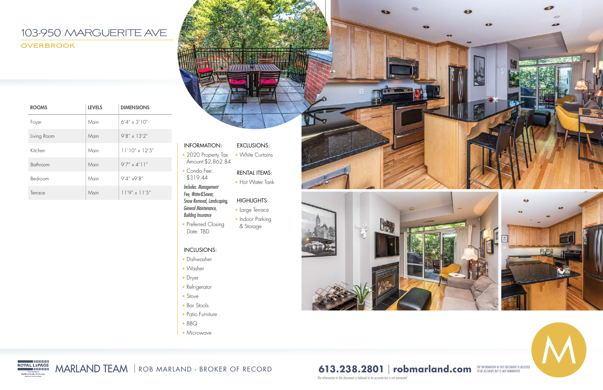## INFORMATION:

- 2020 Property Tax Amount:\$2,862.84
- Condo Fee: \$319.44

• Preferred Closing Date: TBD

*Includes: Management Fee, Water&Sewer, Snow Removal, Landscaping, General Maintenance, Building Insurance* 

### INCLUSIONS:

- Dishwasher
- Washer
- Dryer
- Refrigerator
- Stove
- Bar Stools
- Patio Furniture
- BBQ
- Microwave

## EXCLUSIONS:

• White Curtains

## RENTAL ITEMS:

• Hot Water Tank

#### HIGHLIGHTS:

- Large Terrace
- Indoor Parking
- & Storage





*The information in this document is believed to be accurate but is not warranted* 











| <b>ROOMS</b> | <b>LEVELS</b> | <b>DIMENSIONS</b>       |
|--------------|---------------|-------------------------|
| Foyer        | Main          | $6'4'' \times 3'10''$   |
| Living Room  | Main          | $9'8'' \times 13'2''$   |
| Kitchen      | Main          | $11'10'' \times 12'5''$ |
| Bathroom     | Main          | $9'7'' \times 4'11''$   |
| Bedroom      | Main          | $9'4''$ x9'8"           |
| Terrace      | Main          | $11'9'' \times 11'5''$  |

MARLAND TEAM | ROB MARLAND - BROKER OF RECORD

# **613.238.2801 | robmarland.com** *THE INFORMATION IN THIS DOCUMENT IS BELIEVED*

## 103-950 MARGUERITE AVE **OVERBROOK**